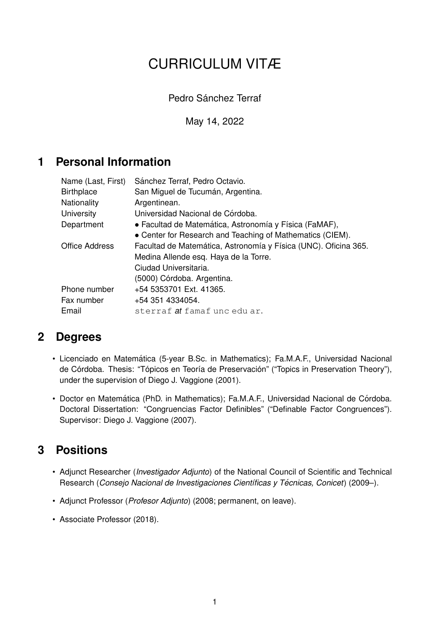# CURRICULUM VITÆ

Pedro Sánchez Terraf

May 14, 2022

# **1 Personal Information**

| Name (Last, First) | Sánchez Terraf, Pedro Octavio.                                  |
|--------------------|-----------------------------------------------------------------|
| <b>Birthplace</b>  | San Miguel de Tucumán, Argentina.                               |
| <b>Nationality</b> | Argentinean.                                                    |
| University         | Universidad Nacional de Córdoba.                                |
| Department         | • Facultad de Matemática, Astronomía y Física (FaMAF),          |
|                    | • Center for Research and Teaching of Mathematics (CIEM).       |
| Office Address     | Facultad de Matemática, Astronomía y Física (UNC). Oficina 365. |
|                    | Medina Allende esq. Haya de la Torre.                           |
|                    | Ciudad Universitaria.                                           |
|                    | (5000) Córdoba. Argentina.                                      |
| Phone number       | +54 5353701 Ext. 41365.                                         |
| Fax number         | +54 351 4334054.                                                |
| Email              | sterraf <i>a</i> t famaf unc edu ar.                            |

# **2 Degrees**

- Licenciado en Matematica (5-year B.Sc. in Mathematics); Fa.M.A.F., Universidad Nacional ´ de Córdoba. Thesis: "Tópicos en Teoría de Preservación" ("Topics in Preservation Theory"), under the supervision of Diego J. Vaggione (2001).
- Doctor en Matemática (PhD. in Mathematics); Fa.M.A.F., Universidad Nacional de Córdoba. Doctoral Dissertation: "Congruencias Factor Definibles" ("Definable Factor Congruences"). Supervisor: Diego J. Vaggione (2007).

# **3 Positions**

- Adjunct Researcher (*Investigador Adjunto*) of the National Council of Scientific and Technical Research (*Consejo Nacional de Investigaciones Científicas y Técnicas, Conicet*) (2009–).
- Adjunct Professor (*Profesor Adjunto*) (2008; permanent, on leave).
- Associate Professor (2018).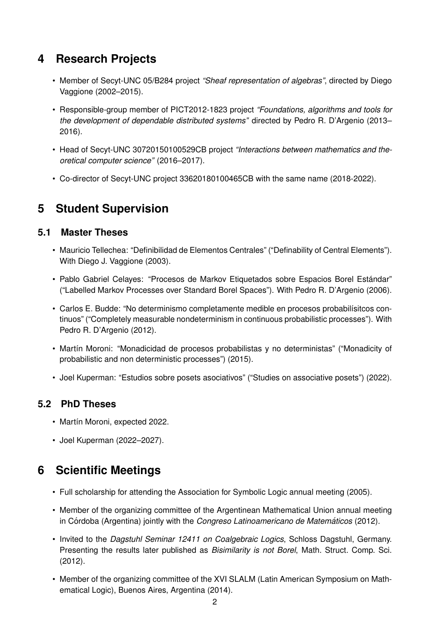# **4 Research Projects**

- Member of Secyt-UNC 05/B284 project *"Sheaf representation of algebras"*, directed by Diego Vaggione (2002–2015).
- Responsible-group member of PICT2012-1823 project *"Foundations, algorithms and tools for the development of dependable distributed systems"* directed by Pedro R. D'Argenio (2013– 2016).
- Head of Secyt-UNC 30720150100529CB project *"Interactions between mathematics and theoretical computer science"* (2016–2017).
- Co-director of Secyt-UNC project 33620180100465CB with the same name (2018-2022).

# **5 Student Supervision**

#### **5.1 Master Theses**

- Mauricio Tellechea: "Definibilidad de Elementos Centrales" ("Definability of Central Elements"). With Diego J. Vaggione (2003).
- Pablo Gabriel Celayes: "Procesos de Markov Etiquetados sobre Espacios Borel Estándar" ("Labelled Markov Processes over Standard Borel Spaces"). With Pedro R. D'Argenio (2006).
- Carlos E. Budde: "No determinismo completamente medible en procesos probabilísitcos continuos" ("Completely measurable nondeterminism in continuous probabilistic processes"). With Pedro R. D'Argenio (2012).
- Martín Moroni: "Monadicidad de procesos probabilistas y no deterministas" ("Monadicity of probabilistic and non deterministic processes") (2015).
- Joel Kuperman: "Estudios sobre posets asociativos" ("Studies on associative posets") (2022).

#### **5.2 PhD Theses**

- Martín Moroni, expected 2022.
- Joel Kuperman (2022–2027).

# **6 Scientific Meetings**

- Full scholarship for attending the Association for Symbolic Logic annual meeting (2005).
- Member of the organizing committee of the Argentinean Mathematical Union annual meeting in Córdoba (Argentina) jointly with the *Congreso Latinoamericano de Matemáticos* (2012).
- Invited to the *Dagstuhl Seminar 12411 on Coalgebraic Logics*, Schloss Dagstuhl, Germany. Presenting the results later published as *Bisimilarity is not Borel*, Math. Struct. Comp. Sci. (2012).
- Member of the organizing committee of the XVI SLALM (Latin American Symposium on Mathematical Logic), Buenos Aires, Argentina (2014).